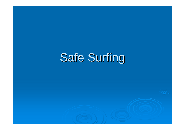# Safe Surfing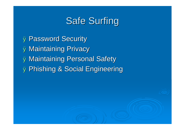# Safe Surfing

Ø Password Security Ø Maintaining Privacy Ø Maintaining Personal Safety Ø Phishing & Social Engineering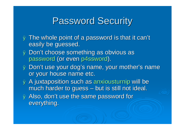### Password Security

- Ø The whole point of a password is that it can't easily be guessed.
- Ø Don't choose something as obvious as password (or even p4ssword).
- Ø Don't use your dog's name, your mother's name or your house name etc.
- Ø A juxtaposition such as anxiousturnip will be much harder to guess – but is still not ideal.
- Ø Also, don't use the same password for everything.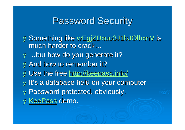#### Password Security

Ø Something like wEgjZDxuo3J1bJOlhxnV is much harder to crack… Ø …but how do you generate it? Ø And how to remember it? ø Use the free <http://keepass.info/> ø It's a database held on your computer Ø Password protected, obviously. Ø KeePass demo.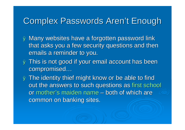#### Complex Passwords Aren't Enough

- Ø Many websites have a forgotten password link that asks you a few security questions and then emails a reminder to you.
- Ø This is not good if your email account has been compromised…
- Ø The identity thief might know or be able to find out the answers to such questions as first school or mother's maiden name – both of which are common on banking sites.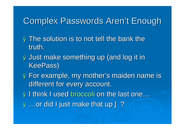#### Complex Passwords Aren't Enough

- **Ø The solution is to not tell the bank the** truth.
- Ø Just make something up (and log it in KeePass)
- Ø For example, my mother's maiden name is different for every account.
- Ø I think I used broccoli on the last one…
- **Ø...or did I just make that up J?**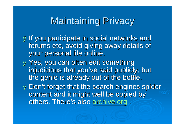# Maintaining Privacy

Ø If you participate in social networks and forums etc, avoid giving away details of your personal life online.

Ø Yes, you can often edit something injudicious that you've said publicly, but the genie is already out of the bottle.

Ø Don't forget that the get that the search engines spider content and it might well be copied by others. There's also archive.org .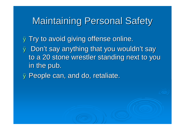### Maintaining Personal Safety

**Ø Try to avoid giving offense online.** Ø Don't say anything that ng that you wouldn't say to a 20 stone wrestler standing next to you in the pub. ø People can, and do, retaliate.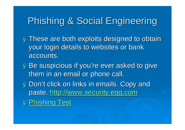## Phishing & Social Engineering

- **Ø These are both exploits designed to obtain** your login details to websites or bank accounts.
- Ø Be suspicious if you're ever asked to give them in an email or phone call.
- Ø Don't click on links in emails. Copy and paste. http:/[/www.security.egg.com](http://www.security.egg.com)

Ø Phishing Test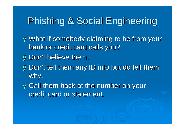# Phishing & Social Engineering

Ø What if somebody claiming to be ng to be from your bank or credit card calls you? Ø Don't believe them.

**Ø Don't tell them any ID info but do tell them** why.

**Ø Call them back at the number on your** credit card or statement.